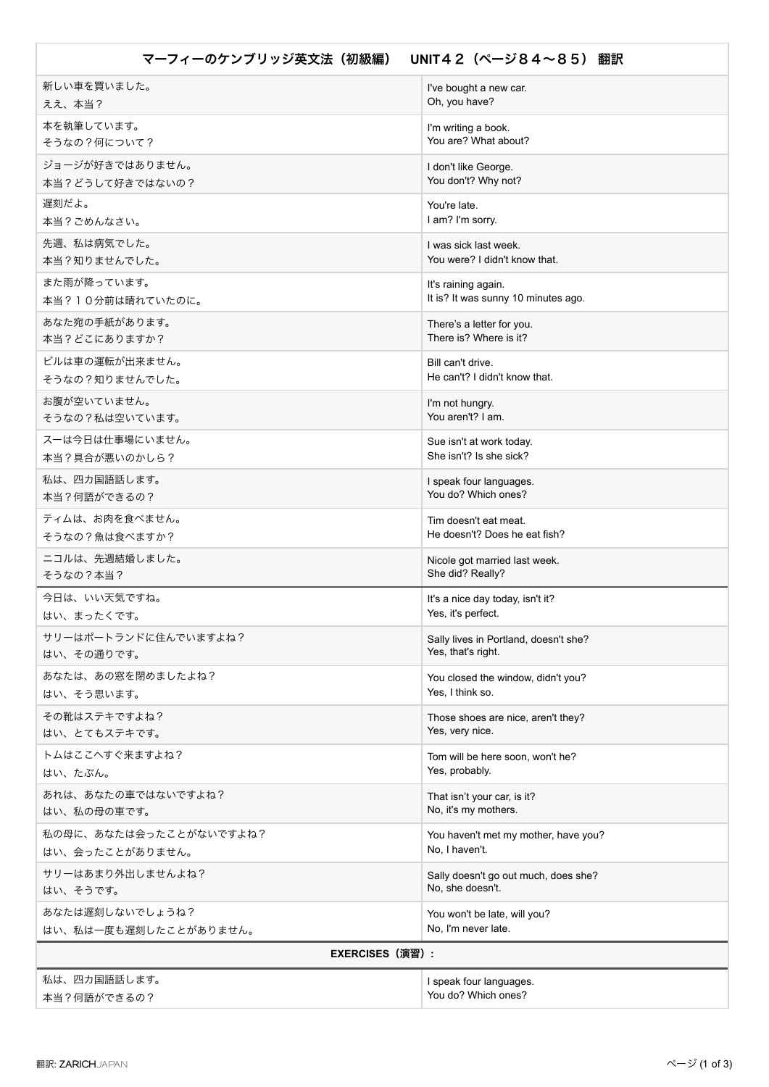| マーフィーのケンブリッジ英文法(初級編)<br>UNIT42 (ページ84~85) 翻訳 |                                       |
|----------------------------------------------|---------------------------------------|
| 新しい車を買いました。                                  | I've bought a new car.                |
| ええ、本当?                                       | Oh, you have?                         |
| 本を執筆しています。                                   | I'm writing a book.                   |
| そうなの?何について?                                  | You are? What about?                  |
| ジョージが好きではありません。                              | I don't like George.                  |
| 本当?どうして好きではないの?                              | You don't? Why not?                   |
| 遅刻だよ。                                        | You're late.                          |
| 本当?ごめんなさい。                                   | I am? I'm sorry.                      |
| 先週、私は病気でした。                                  | I was sick last week.                 |
| 本当?知りませんでした。                                 | You were? I didn't know that.         |
| また雨が降っています。                                  | It's raining again.                   |
| 本当?10分前は晴れていたのに。                             | It is? It was sunny 10 minutes ago.   |
| あなた宛の手紙があります。                                | There's a letter for you.             |
| 本当?どこにありますか?                                 | There is? Where is it?                |
| ビルは車の運転が出来ません。                               | Bill can't drive.                     |
| そうなの?知りませんでした。                               | He can't? I didn't know that.         |
| お腹が空いていません。                                  | I'm not hungry.                       |
| そうなの?私は空いています。                               | You aren't? I am.                     |
| スーは今日は仕事場にいません。                              | Sue isn't at work today.              |
| 本当?具合が悪いのかしら?                                | She isn't? Is she sick?               |
| 私は、四カ国語話します。                                 | I speak four languages.               |
| 本当?何語ができるの?                                  | You do? Which ones?                   |
| ティムは、お肉を食べません。                               | Tim doesn't eat meat.                 |
| そうなの?魚は食べますか?                                | He doesn't? Does he eat fish?         |
| ニコルは、先週結婚しました。                               | Nicole got married last week.         |
| そうなの?本当?                                     | She did? Really?                      |
| 今日は、いい天気ですね。                                 | It's a nice day today, isn't it?      |
| はい、まったくです。                                   | Yes, it's perfect.                    |
| サリーはポートランドに住んでいますよね?                         | Sally lives in Portland, doesn't she? |
| はい、その通りです。                                   | Yes, that's right.                    |
| あなたは、あの窓を閉めましたよね?                            | You closed the window, didn't you?    |
| はい、そう思います。                                   | Yes, I think so.                      |
| その靴はステキですよね?                                 | Those shoes are nice, aren't they?    |
| はい、とてもステキです。                                 | Yes, very nice.                       |
| トムはここへすぐ来ますよね?                               | Tom will be here soon, won't he?      |
| はい、たぶん。                                      | Yes, probably.                        |
| あれは、あなたの車ではないですよね?                           | That isn't your car, is it?           |
| はい、私の母の車です。                                  | No, it's my mothers.                  |
| 私の母に、あなたは会ったことがないですよね?                       | You haven't met my mother, have you?  |
| はい、会ったことがありません。                              | No, I haven't.                        |
| サリーはあまり外出しませんよね?                             | Sally doesn't go out much, does she?  |
| はい、そうです。                                     | No, she doesn't.                      |
| あなたは遅刻しないでしょうね?                              | You won't be late, will you?          |
| はい、私は一度も遅刻したことがありません。                        | No, I'm never late.                   |
| <b>EXERCISES (演習) :</b>                      |                                       |
| 私は、四カ国語話します。                                 | I speak four languages.               |
| 本当?何語ができるの?                                  | You do? Which ones?                   |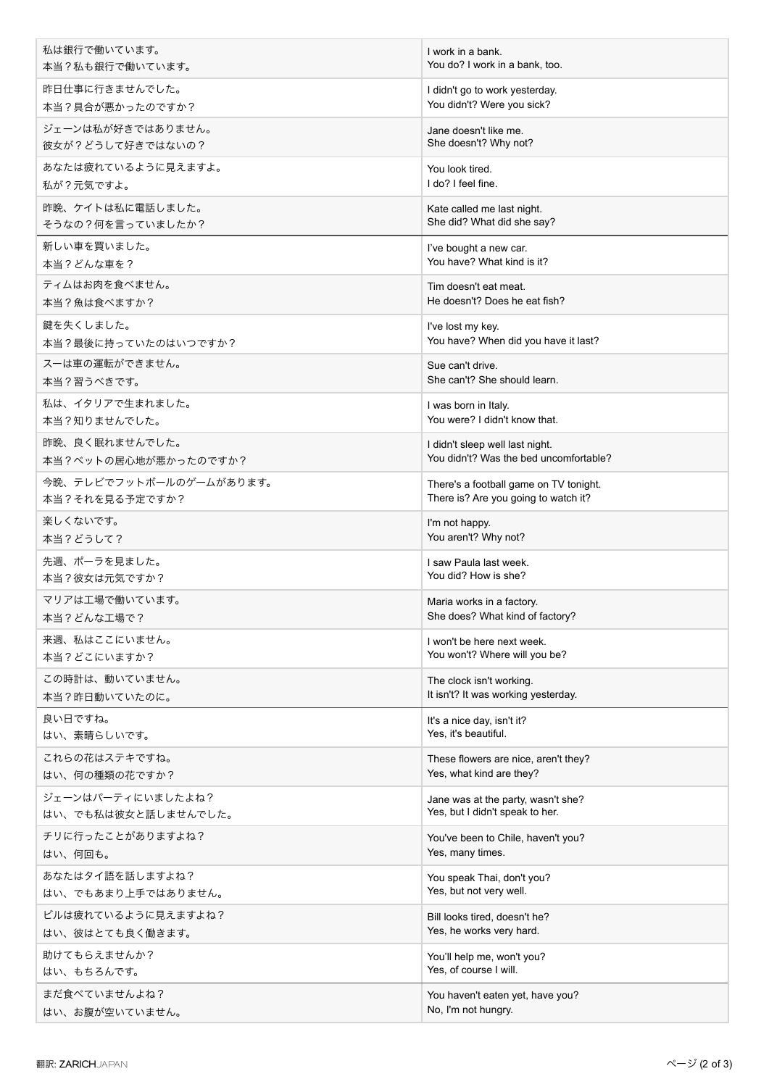| 私は銀行で働いています。            | I work in a bank.                      |
|-------------------------|----------------------------------------|
| 本当?私も銀行で働いています。         | You do? I work in a bank, too.         |
| 昨日仕事に行きませんでした。          | I didn't go to work yesterday.         |
| 本当?具合が悪かったのですか?         | You didn't? Were you sick?             |
| ジェーンは私が好きではありません。       | Jane doesn't like me.                  |
| 彼女が?どうして好きではないの?        | She doesn't? Why not?                  |
| あなたは疲れているように見えますよ。      | You look tired.                        |
| 私が?元気ですよ。               | I do? I feel fine.                     |
| 昨晩、ケイトは私に電話しました。        | Kate called me last night.             |
| そうなの?何を言っていましたか?        | She did? What did she say?             |
| 新しい車を買いました。             | I've bought a new car.                 |
| 本当?どんな車を?               | You have? What kind is it?             |
| ティムはお肉を食べません。           | Tim doesn't eat meat.                  |
| 本当?魚は食べますか?             | He doesn't? Does he eat fish?          |
| 鍵を失くしました。               | I've lost my key.                      |
| 本当?最後に持っていたのはいつですか?     | You have? When did you have it last?   |
| スーは車の運転ができません。          | Sue can't drive.                       |
| 本当?習うべきです。              | She can't? She should learn.           |
| 私は、イタリアで生まれました。         | I was born in Italy.                   |
| 本当?知りませんでした。            | You were? I didn't know that.          |
| 昨晩、良く眠れませんでした。          | I didn't sleep well last night.        |
| 本当?ベットの居心地が悪かったのですか?    | You didn't? Was the bed uncomfortable? |
| 今晩、テレビでフットボールのゲームがあります。 | There's a football game on TV tonight. |
| 本当?それを見る予定ですか?          | There is? Are you going to watch it?   |
| 楽しくないです。                | I'm not happy.                         |
| 本当?どうして?                | You aren't? Why not?                   |
| 先週、ポーラを見ました。            | I saw Paula last week.                 |
| 本当?彼女は元気ですか?            | You did? How is she?                   |
| マリアは工場で働いています。          | Maria works in a factory.              |
| 本当?どんな工場で?              | She does? What kind of factory?        |
| 来週、私はここにいません。           | I won't be here next week.             |
| 本当?どこにいますか?             | You won't? Where will you be?          |
| この時計は、動いていません。          | The clock isn't working.               |
| 本当?昨日動いていたのに。           | It isn't? It was working yesterday.    |
| 良い日ですね。                 | It's a nice day, isn't it?             |
| はい、素晴らしいです。             | Yes, it's beautiful.                   |
| これらの花はステキですね。           | These flowers are nice, aren't they?   |
| はい、何の種類の花ですか?           | Yes, what kind are they?               |
| ジェーンはパーティにいましたよね?       | Jane was at the party, wasn't she?     |
| はい、でも私は彼女と話しませんでした。     | Yes, but I didn't speak to her.        |
| チリに行ったことがありますよね?        | You've been to Chile, haven't you?     |
| はい、何回も。                 | Yes, many times.                       |
| あなたはタイ語を話しますよね?         | You speak Thai, don't you?             |
| はい、でもあまり上手ではありません。      | Yes, but not very well.                |
| ビルは疲れているように見えますよね?      | Bill looks tired, doesn't he?          |
| はい、彼はとても良く働きます。         | Yes, he works very hard.               |
| 助けてもらえませんか?             | You'll help me, won't you?             |
| はい、もちろんです。              | Yes, of course I will.                 |
| まだ食べていませんよね?            | You haven't eaten yet, have you?       |
| はい、お腹が空いていません。          | No, I'm not hungry.                    |